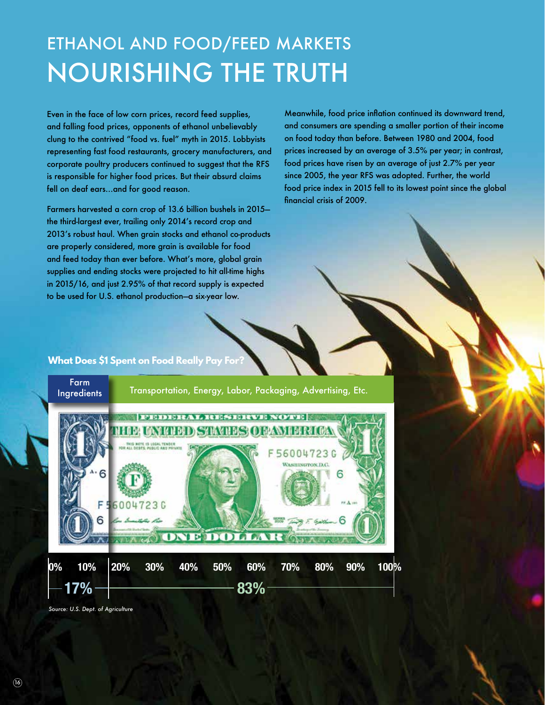## ETHANOL AND FOOD/FEED MARKETS NOURISHING THE TRUTH

Even in the face of low corn prices, record feed supplies, and falling food prices, opponents of ethanol unbelievably clung to the contrived "food vs. fuel" myth in 2015. Lobbyists representing fast food restaurants, grocery manufacturers, and corporate poultry producers continued to suggest that the RFS is responsible for higher food prices. But their absurd claims fell on deaf ears…and for good reason.

Farmers harvested a corn crop of 13.6 billion bushels in 2015 the third-largest ever, trailing only 2014's record crop and 2013's robust haul. When grain stocks and ethanol co-products are properly considered, more grain is available for food and feed today than ever before. What's more, global grain supplies and ending stocks were projected to hit all-time highs in 2015/16, and just 2.95% of that record supply is expected to be used for U.S. ethanol production—a six-year low.

Meanwhile, food price inflation continued its downward trend, and consumers are spending a smaller portion of their income on food today than before. Between 1980 and 2004, food prices increased by an average of 3.5% per year; in contrast, food prices have risen by an average of just 2.7% per year since 2005, the year RFS was adopted. Further, the world food price index in 2015 fell to its lowest point since the global financial crisis of 2009.

## **What Does \$1 Spent on Food Really Pay For?**



*Source: U.S. Dept. of Agriculture*